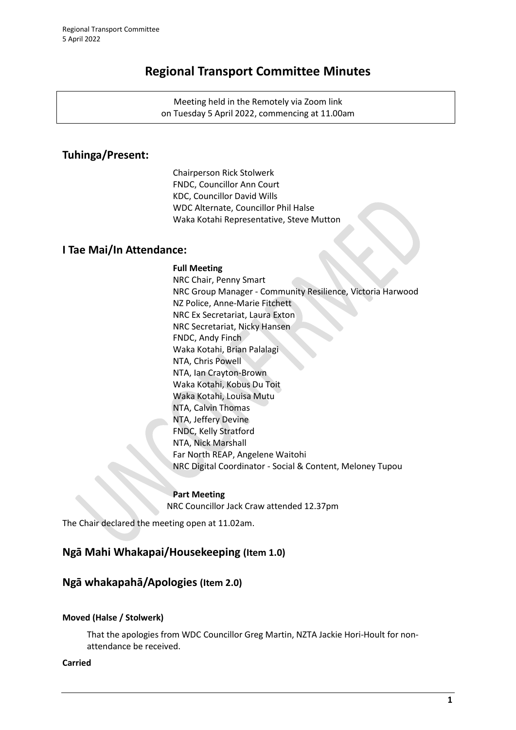# **Regional Transport Committee Minutes**

Meeting held in the Remotely via Zoom link on Tuesday 5 April 2022, commencing at 11.00am

# **Tuhinga/Present:**

Chairperson Rick Stolwerk FNDC, Councillor Ann Court KDC, Councillor David Wills WDC Alternate, Councillor Phil Halse Waka Kotahi Representative, Steve Mutton

## **I Tae Mai/In Attendance:**

#### **Full Meeting**

NRC Chair, Penny Smart NRC Group Manager - Community Resilience, Victoria Harwood NZ Police, Anne-Marie Fitchett NRC Ex Secretariat, Laura Exton NRC Secretariat, Nicky Hansen FNDC, Andy Finch Waka Kotahi, Brian Palalagi NTA, Chris Powell NTA, Ian Crayton-Brown Waka Kotahi, Kobus Du Toit Waka Kotahi, Louisa Mutu NTA, Calvin Thomas NTA, Jeffery Devine FNDC, Kelly Stratford NTA, Nick Marshall Far North REAP, Angelene Waitohi NRC Digital Coordinator - Social & Content, Meloney Tupou

**Part Meeting** NRC Councillor Jack Craw attended 12.37pm

The Chair declared the meeting open at 11.02am.

## **Ngā Mahi Whakapai/Housekeeping (Item 1.0)**

## **Ngā whakapahā/Apologies (Item 2.0)**

#### **Moved (Halse / Stolwerk)**

That the apologies from WDC Councillor Greg Martin, NZTA Jackie Hori-Hoult for nonattendance be received.

#### **Carried**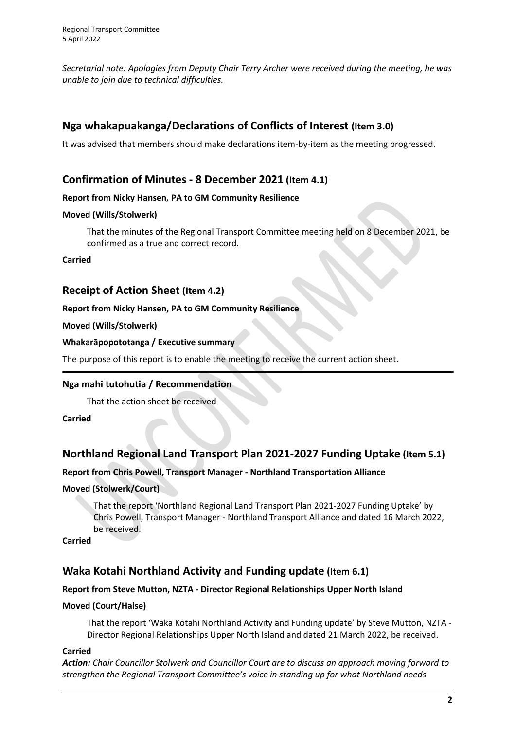*Secretarial note: Apologies from Deputy Chair Terry Archer were received during the meeting, he was unable to join due to technical difficulties.*

# **Nga whakapuakanga/Declarations of Conflicts of Interest (Item 3.0)**

It was advised that members should make declarations item-by-item as the meeting progressed.

## **Confirmation of Minutes - 8 December 2021 (Item 4.1)**

### **Report from Nicky Hansen, PA to GM Community Resilience**

### **Moved (Wills/Stolwerk)**

That the minutes of the Regional Transport Committee meeting held on 8 December 2021, be confirmed as a true and correct record.

### **Carried**

## **Receipt of Action Sheet (Item 4.2)**

### **Report from Nicky Hansen, PA to GM Community Resilience**

### **Moved (Wills/Stolwerk)**

### **Whakarāpopototanga / Executive summary**

The purpose of this report is to enable the meeting to receive the current action sheet.

## **Nga mahi tutohutia / Recommendation**

That the action sheet be received

**Carried**

# **Northland Regional Land Transport Plan 2021-2027 Funding Uptake (Item 5.1)**

## **Report from Chris Powell, Transport Manager - Northland Transportation Alliance**

### **Moved (Stolwerk/Court)**

That the report 'Northland Regional Land Transport Plan 2021-2027 Funding Uptake' by Chris Powell, Transport Manager - Northland Transport Alliance and dated 16 March 2022, be received.

**Carried**

# **Waka Kotahi Northland Activity and Funding update (Item 6.1)**

## **Report from Steve Mutton, NZTA - Director Regional Relationships Upper North Island**

### **Moved (Court/Halse)**

That the report 'Waka Kotahi Northland Activity and Funding update' by Steve Mutton, NZTA - Director Regional Relationships Upper North Island and dated 21 March 2022, be received.

### **Carried**

*Action: Chair Councillor Stolwerk and Councillor Court are to discuss an approach moving forward to strengthen the Regional Transport Committee's voice in standing up for what Northland needs*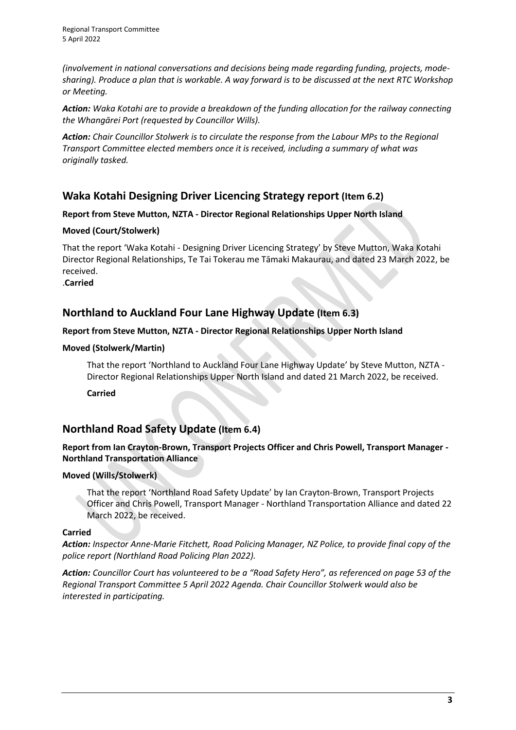*(involvement in national conversations and decisions being made regarding funding, projects, modesharing). Produce a plan that is workable. A way forward is to be discussed at the next RTC Workshop or Meeting.*

*Action: Waka Kotahi are to provide a breakdown of the funding allocation for the railway connecting the Whangārei Port (requested by Councillor Wills).*

*Action: Chair Councillor Stolwerk is to circulate the response from the Labour MPs to the Regional Transport Committee elected members once it is received, including a summary of what was originally tasked.*

# **Waka Kotahi Designing Driver Licencing Strategy report (Item 6.2)**

### **Report from Steve Mutton, NZTA - Director Regional Relationships Upper North Island**

### **Moved (Court/Stolwerk)**

That the report 'Waka Kotahi - Designing Driver Licencing Strategy' by Steve Mutton, Waka Kotahi Director Regional Relationships, Te Tai Tokerau me Tāmaki Makaurau, and dated 23 March 2022, be received.

.**Carried**

## **Northland to Auckland Four Lane Highway Update (Item 6.3)**

### **Report from Steve Mutton, NZTA - Director Regional Relationships Upper North Island**

#### **Moved (Stolwerk/Martin)**

That the report 'Northland to Auckland Four Lane Highway Update' by Steve Mutton, NZTA - Director Regional Relationships Upper North Island and dated 21 March 2022, be received.

**Carried**

# **Northland Road Safety Update (Item 6.4)**

#### **Report from Ian Crayton-Brown, Transport Projects Officer and Chris Powell, Transport Manager - Northland Transportation Alliance**

### **Moved (Wills/Stolwerk)**

That the report 'Northland Road Safety Update' by Ian Crayton-Brown, Transport Projects Officer and Chris Powell, Transport Manager - Northland Transportation Alliance and dated 22 March 2022, be received.

### **Carried**

*Action: Inspector Anne-Marie Fitchett, Road Policing Manager, NZ Police, to provide final copy of the police report (Northland Road Policing Plan 2022).*

*Action: Councillor Court has volunteered to be a "Road Safety Hero", as referenced on page 53 of the Regional Transport Committee 5 April 2022 Agenda. Chair Councillor Stolwerk would also be interested in participating.*